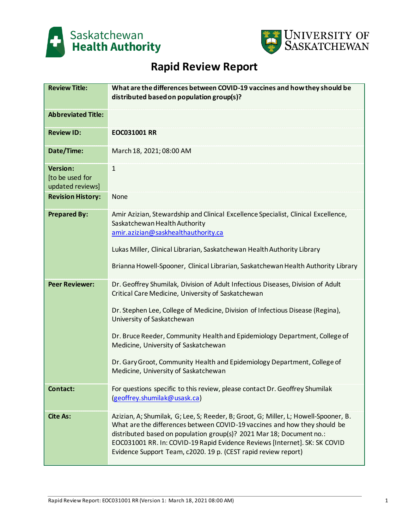



# **Rapid Review Report**

| <b>Review Title:</b>                                   | What are the differences between COVID-19 vaccines and how they should be<br>distributed based on population group(s)?                                                                                                                                                                                                                                                                                                                                                                          |
|--------------------------------------------------------|-------------------------------------------------------------------------------------------------------------------------------------------------------------------------------------------------------------------------------------------------------------------------------------------------------------------------------------------------------------------------------------------------------------------------------------------------------------------------------------------------|
| <b>Abbreviated Title:</b>                              |                                                                                                                                                                                                                                                                                                                                                                                                                                                                                                 |
| <b>Review ID:</b>                                      | EOC031001 RR                                                                                                                                                                                                                                                                                                                                                                                                                                                                                    |
| Date/Time:                                             | March 18, 2021; 08:00 AM                                                                                                                                                                                                                                                                                                                                                                                                                                                                        |
| <b>Version:</b><br>[to be used for<br>updated reviews] | $\mathbf{1}$                                                                                                                                                                                                                                                                                                                                                                                                                                                                                    |
| <b>Revision History:</b>                               | <b>None</b>                                                                                                                                                                                                                                                                                                                                                                                                                                                                                     |
| <b>Prepared By:</b>                                    | Amir Azizian, Stewardship and Clinical Excellence Specialist, Clinical Excellence,<br>Saskatchewan Health Authority<br>amir.azizian@saskhealthauthority.ca<br>Lukas Miller, Clinical Librarian, Saskatchewan Health Authority Library<br>Brianna Howell-Spooner, Clinical Librarian, Saskatchewan Health Authority Library                                                                                                                                                                      |
| <b>Peer Reviewer:</b>                                  | Dr. Geoffrey Shumilak, Division of Adult Infectious Diseases, Division of Adult<br>Critical Care Medicine, University of Saskatchewan<br>Dr. Stephen Lee, College of Medicine, Division of Infectious Disease (Regina),<br>University of Saskatchewan<br>Dr. Bruce Reeder, Community Health and Epidemiology Department, College of<br>Medicine, University of Saskatchewan<br>Dr. Gary Groot, Community Health and Epidemiology Department, College of<br>Medicine, University of Saskatchewan |
| Contact:                                               | For questions specific to this review, please contact Dr. Geoffrey Shumilak<br>(geoffrey.shumilak@usask.ca)                                                                                                                                                                                                                                                                                                                                                                                     |
| <b>Cite As:</b>                                        | Azizian, A; Shumilak, G; Lee, S; Reeder, B; Groot, G; Miller, L; Howell-Spooner, B.<br>What are the differences between COVID-19 vaccines and how they should be<br>distributed based on population group(s)? 2021 Mar 18; Document no.:<br>EOC031001 RR. In: COVID-19 Rapid Evidence Reviews [Internet]. SK: SK COVID<br>Evidence Support Team, c2020. 19 p. (CEST rapid review report)                                                                                                        |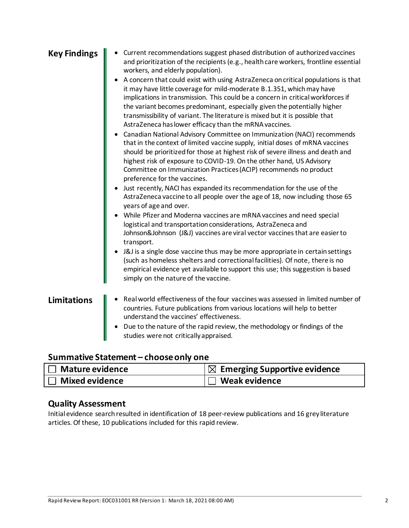| <b>Key Findings</b> | Current recommendations suggest phased distribution of authorized vaccines<br>and prioritization of the recipients (e.g., health care workers, frontline essential<br>workers, and elderly population).<br>A concern that could exist with using AstraZeneca on critical populations is that<br>it may have little coverage for mild-moderate B.1.351, which may have<br>implications in transmission. This could be a concern in critical workforces if<br>the variant becomes predominant, especially given the potentially higher<br>transmissibility of variant. The literature is mixed but it is possible that<br>AstraZeneca has lower efficacy than the mRNA vaccines.<br>Canadian National Advisory Committee on Immunization (NACI) recommends<br>that in the context of limited vaccine supply, initial doses of mRNA vaccines<br>should be prioritized for those at highest risk of severe illness and death and<br>highest risk of exposure to COVID-19. On the other hand, US Advisory<br>Committee on Immunization Practices (ACIP) recommends no product<br>preference for the vaccines.<br>Just recently, NACI has expanded its recommendation for the use of the<br>AstraZeneca vaccine to all people over the age of 18, now including those 65<br>years of age and over.<br>While Pfizer and Moderna vaccines are mRNA vaccines and need special<br>logistical and transportation considerations, AstraZeneca and<br>Johnson&Johnson (J&J) vaccines are viral vector vaccines that are easier to<br>transport.<br>J&J is a single dose vaccine thus may be more appropriate in certain settings<br>(such as homeless shelters and correctional facilities). Of note, there is no<br>empirical evidence yet available to support this use; this suggestion is based<br>simply on the nature of the vaccine. |
|---------------------|--------------------------------------------------------------------------------------------------------------------------------------------------------------------------------------------------------------------------------------------------------------------------------------------------------------------------------------------------------------------------------------------------------------------------------------------------------------------------------------------------------------------------------------------------------------------------------------------------------------------------------------------------------------------------------------------------------------------------------------------------------------------------------------------------------------------------------------------------------------------------------------------------------------------------------------------------------------------------------------------------------------------------------------------------------------------------------------------------------------------------------------------------------------------------------------------------------------------------------------------------------------------------------------------------------------------------------------------------------------------------------------------------------------------------------------------------------------------------------------------------------------------------------------------------------------------------------------------------------------------------------------------------------------------------------------------------------------------------------------------------------------------------------------------------------------------------------|
| <b>Limitations</b>  | Real world effectiveness of the four vaccines was assessed in limited number of<br>countries. Future publications from various locations will help to better<br>understand the vaccines' effectiveness.<br>Due to the nature of the rapid review, the methodology or findings of the<br>studies were not critically appraised.                                                                                                                                                                                                                                                                                                                                                                                                                                                                                                                                                                                                                                                                                                                                                                                                                                                                                                                                                                                                                                                                                                                                                                                                                                                                                                                                                                                                                                                                                                 |

# **Summative Statement – choose only one**

| <b>Mature evidence</b> | $\vert\boxtimes\,$ Emerging Supportive evidence |
|------------------------|-------------------------------------------------|
| <b>Mixed evidence</b>  | <b>। Weak evidence</b>                          |

# **Quality Assessment**

Initial evidence search resulted in identification of 18 peer-review publications and 16 grey literature articles. Of these, 10 publications included for this rapid review.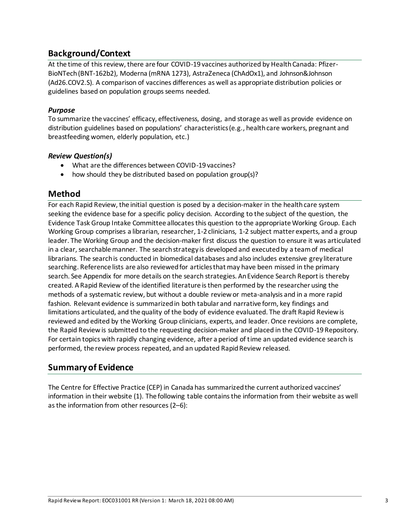## **Background/Context**

At the time of this review, there are four COVID-19 vaccines authorized by Health Canada: Pfizer-BioNTech (BNT-162b2), Moderna (mRNA 1273), AstraZeneca (ChAdOx1), and Johnson&Johnson (Ad26.COV2.S). A comparison of vaccines differences as well as appropriate distribution policies or guidelines based on population groups seems needed.

#### *Purpose*

To summarize the vaccines' efficacy, effectiveness, dosing, and storage as well as provide evidence on distribution guidelines based on populations' characteristics (e.g., health care workers, pregnant and breastfeeding women, elderly population, etc.)

#### *Review Question(s)*

- What are the differences between COVID-19 vaccines?
- how should they be distributed based on population group(s)?

## **Method**

For each Rapid Review, the initial question is posed by a decision-maker in the health care system seeking the evidence base for a specific policy decision. According to the subject of the question, the Evidence Task Group Intake Committee allocates this question to the appropriate Working Group. Each Working Group comprises a librarian, researcher, 1-2 clinicians, 1-2 subject matter experts, and a group leader. The Working Group and the decision-maker first discuss the question to ensure it was articulated in a clear, searchable manner. The search strategy is developed and executed by a team of medical librarians. The search is conducted in biomedical databases and also includes extensive grey literature searching. Reference lists are also reviewed for articles that may have been missed in the primary search. See Appendix for more details on the search strategies. An Evidence Search Report is thereby created. A Rapid Review of the identified literature is then performed by the researcher using the methods of a systematic review, but without a double review or meta-analysis and in a more rapid fashion. Relevant evidence is summarized in both tabular and narrative form, key findings and limitations articulated, and the quality of the body of evidence evaluated. The draft Rapid Review is reviewed and edited by the Working Group clinicians, experts, and leader. Once revisions are complete, the Rapid Review is submitted to the requesting decision-maker and placed in the COVID-19 Repository. For certain topics with rapidly changing evidence, after a period of time an updated evidence search is performed, the review process repeated, and an updated Rapid Review released.

## **Summary of Evidence**

The Centre for Effective Practice (CEP) in Canada has summarized the current authorized vaccines' information in their website (1). The following table contains the information from their website as well as the information from other resources (2–6):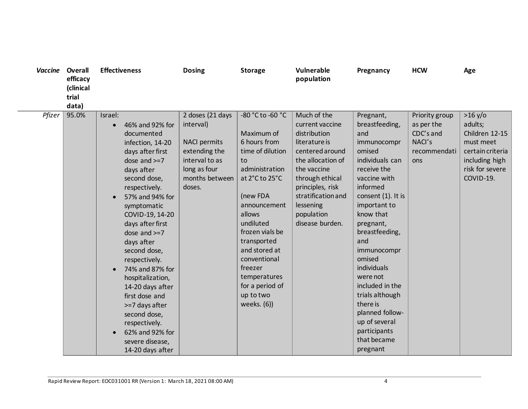| Vaccine | Overall<br>efficacy<br>(clinical<br>trial<br>data) | <b>Effectiveness</b>                                                                                                                                                                                                                                                                                                                                                                                                                                                                               | <b>Dosing</b>                                                                                                                       | <b>Storage</b>                                                                                                                                                                                                                                                                                               | Vulnerable<br>population                                                                                                                                                                                                          | Pregnancy                                                                                                                                                                                                                                                                                                                                                                                               | <b>HCW</b>                                                                 | Age                                                                                                                     |
|---------|----------------------------------------------------|----------------------------------------------------------------------------------------------------------------------------------------------------------------------------------------------------------------------------------------------------------------------------------------------------------------------------------------------------------------------------------------------------------------------------------------------------------------------------------------------------|-------------------------------------------------------------------------------------------------------------------------------------|--------------------------------------------------------------------------------------------------------------------------------------------------------------------------------------------------------------------------------------------------------------------------------------------------------------|-----------------------------------------------------------------------------------------------------------------------------------------------------------------------------------------------------------------------------------|---------------------------------------------------------------------------------------------------------------------------------------------------------------------------------------------------------------------------------------------------------------------------------------------------------------------------------------------------------------------------------------------------------|----------------------------------------------------------------------------|-------------------------------------------------------------------------------------------------------------------------|
| Pfizer  | 95.0%                                              | Israel:<br>46% and 92% for<br>documented<br>infection, 14-20<br>days after first<br>dose and $>=7$<br>days after<br>second dose,<br>respectively.<br>57% and 94% for<br>symptomatic<br>COVID-19, 14-20<br>days after first<br>dose and $>=7$<br>days after<br>second dose,<br>respectively.<br>74% and 87% for<br>$\bullet$<br>hospitalization,<br>14-20 days after<br>first dose and<br>>=7 days after<br>second dose,<br>respectively.<br>62% and 92% for<br>severe disease,<br>14-20 days after | 2 doses (21 days<br>interval)<br><b>NACI permits</b><br>extending the<br>interval to as<br>long as four<br>months between<br>doses. | -80 °C to -60 °C<br>Maximum of<br>6 hours from<br>time of dilution<br>to<br>administration<br>at 2°C to 25°C<br>(new FDA<br>announcement<br>allows<br>undiluted<br>frozen vials be<br>transported<br>and stored at<br>conventional<br>freezer<br>temperatures<br>for a period of<br>up to two<br>weeks. (6)) | Much of the<br>current vaccine<br>distribution<br>literature is<br>centered around<br>the allocation of<br>the vaccine<br>through ethical<br>principles, risk<br>stratification and<br>lessening<br>population<br>disease burden. | Pregnant,<br>breastfeeding,<br>and<br>immunocompr<br>omised<br>individuals can<br>receive the<br>vaccine with<br>informed<br>consent (1). It is<br>important to<br>know that<br>pregnant,<br>breastfeeding,<br>and<br>immunocompr<br>omised<br>individuals<br>were not<br>included in the<br>trials although<br>there is<br>planned follow-<br>up of several<br>participants<br>that became<br>pregnant | Priority group<br>as per the<br>CDC's and<br>NACI's<br>recommendati<br>ons | >16 y/o<br>adults;<br>Children 12-15<br>must meet<br>certain criteria<br>including high<br>risk for severe<br>COVID-19. |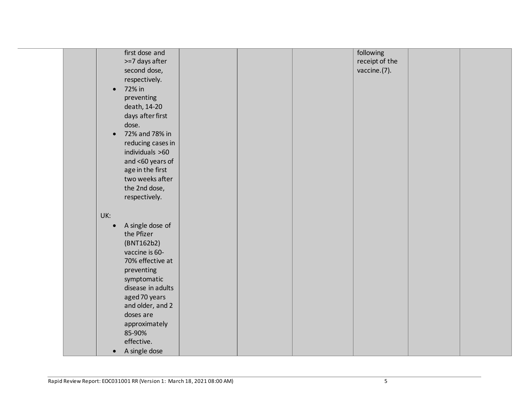|  |           | first dose and    |  | following      |  |
|--|-----------|-------------------|--|----------------|--|
|  |           | >=7 days after    |  | receipt of the |  |
|  |           | second dose,      |  | vaccine.(7).   |  |
|  |           | respectively.     |  |                |  |
|  | $\bullet$ | 72% in            |  |                |  |
|  |           | preventing        |  |                |  |
|  |           | death, 14-20      |  |                |  |
|  |           | days after first  |  |                |  |
|  |           | dose.             |  |                |  |
|  | $\bullet$ | 72% and 78% in    |  |                |  |
|  |           | reducing cases in |  |                |  |
|  |           | individuals >60   |  |                |  |
|  |           | and <60 years of  |  |                |  |
|  |           | age in the first  |  |                |  |
|  |           | two weeks after   |  |                |  |
|  |           | the 2nd dose,     |  |                |  |
|  |           | respectively.     |  |                |  |
|  |           |                   |  |                |  |
|  | UK:       |                   |  |                |  |
|  |           | A single dose of  |  |                |  |
|  |           | the Pfizer        |  |                |  |
|  |           | (BNT162b2)        |  |                |  |
|  |           | vaccine is 60-    |  |                |  |
|  |           | 70% effective at  |  |                |  |
|  |           |                   |  |                |  |
|  |           | preventing        |  |                |  |
|  |           | symptomatic       |  |                |  |
|  |           | disease in adults |  |                |  |
|  |           | aged 70 years     |  |                |  |
|  |           | and older, and 2  |  |                |  |
|  |           | doses are         |  |                |  |
|  |           | approximately     |  |                |  |
|  |           | 85-90%            |  |                |  |
|  |           | effective.        |  |                |  |
|  | $\bullet$ | A single dose     |  |                |  |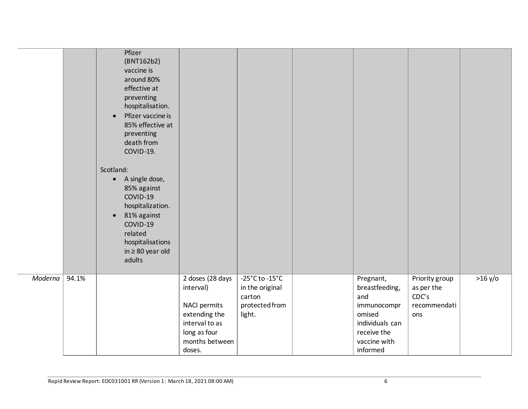|                  | Pfizer<br>(BNT162b2)<br>vaccine is<br>around 80%<br>effective at<br>preventing<br>hospitalisation.<br>Pfizer vaccine is<br>$\bullet$<br>85% effective at<br>preventing<br>death from<br>COVID-19.<br>Scotland:<br>A single dose,<br>$\bullet$<br>85% against<br>COVID-19<br>hospitalization.<br>81% against<br>$\bullet$<br>COVID-19<br>related<br>hospitalisations<br>in $\geq 80$ year old<br>adults |                                                                                                                    |                                                                                             |                                                                                                               |                                                              |         |
|------------------|--------------------------------------------------------------------------------------------------------------------------------------------------------------------------------------------------------------------------------------------------------------------------------------------------------------------------------------------------------------------------------------------------------|--------------------------------------------------------------------------------------------------------------------|---------------------------------------------------------------------------------------------|---------------------------------------------------------------------------------------------------------------|--------------------------------------------------------------|---------|
| Moderna<br>94.1% |                                                                                                                                                                                                                                                                                                                                                                                                        | 2 doses (28 days<br>interval)<br>NACI permits<br>extending the<br>interval to as<br>long as four<br>months between | $-25^{\circ}$ C to $-15^{\circ}$ C<br>in the original<br>carton<br>protected from<br>light. | Pregnant,<br>breastfeeding,<br>and<br>immunocompr<br>omised<br>individuals can<br>receive the<br>vaccine with | Priority group<br>as per the<br>CDC's<br>recommendati<br>ons | >16 y/o |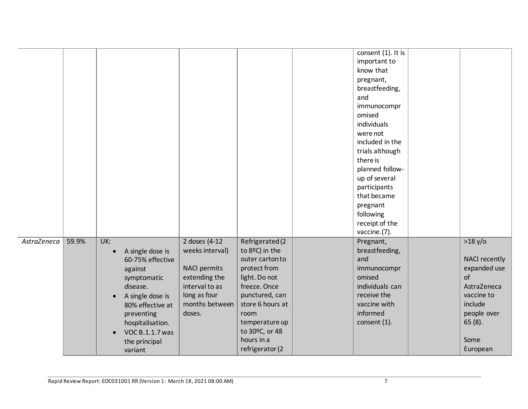|             |       |                                                                                                                                                                                                                                                   |                                                                                                                                         |                                                                                                                                                                                                                          | consent (1). It is<br>important to<br>know that<br>pregnant,<br>breastfeeding,<br>and<br>immunocompr<br>omised<br>individuals<br>were not<br>included in the<br>trials although<br>there is<br>planned follow-<br>up of several<br>participants<br>that became<br>pregnant<br>following<br>receipt of the |                                                                                                                                        |
|-------------|-------|---------------------------------------------------------------------------------------------------------------------------------------------------------------------------------------------------------------------------------------------------|-----------------------------------------------------------------------------------------------------------------------------------------|--------------------------------------------------------------------------------------------------------------------------------------------------------------------------------------------------------------------------|-----------------------------------------------------------------------------------------------------------------------------------------------------------------------------------------------------------------------------------------------------------------------------------------------------------|----------------------------------------------------------------------------------------------------------------------------------------|
| AstraZeneca | 59.9% | UK:<br>A single dose is<br>$\bullet$<br>60-75% effective<br>against<br>symptomatic<br>disease.<br>A single dose is<br>$\bullet$<br>80% effective at<br>preventing<br>hospitalisation.<br>VOC B.1.1.7 was<br>$\bullet$<br>the principal<br>variant | 2 doses (4-12)<br>weeks interval)<br><b>NACI permits</b><br>extending the<br>interval to as<br>long as four<br>months between<br>doses. | Refrigerated (2<br>to 8ºC) in the<br>outer carton to<br>protect from<br>light. Do not<br>freeze. Once<br>punctured, can<br>store 6 hours at<br>room<br>temperature up<br>to 30°C, or 48<br>hours in a<br>refrigerator (2 | vaccine.(7).<br>Pregnant,<br>breastfeeding,<br>and<br>immunocompr<br>omised<br>individuals can<br>receive the<br>vaccine with<br>informed<br>consent (1).                                                                                                                                                 | >18 y/o<br>NACI recently<br>expanded use<br>of<br>AstraZeneca<br>vaccine to<br>include<br>people over<br>$65(8)$ .<br>Some<br>European |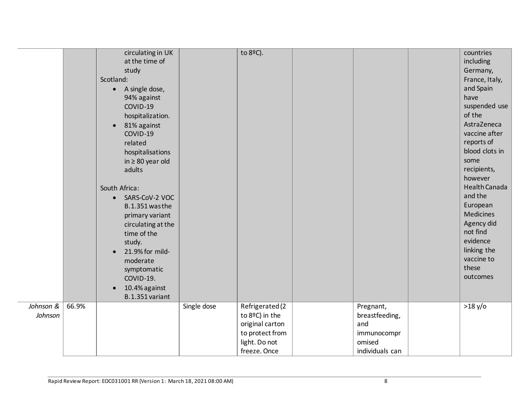|                      |       | circulating in UK<br>at the time of<br>study<br>Scotland:<br>A single dose,<br>$\bullet$<br>94% against<br>COVID-19<br>hospitalization.<br>81% against<br>$\bullet$<br>COVID-19<br>related<br>hospitalisations<br>in $\geq 80$ year old<br>adults<br>South Africa:<br>SARS-CoV-2 VOC<br>$\bullet$<br>B.1.351 was the<br>primary variant<br>circulating at the<br>time of the<br>study.<br>21.9% for mild-<br>moderate<br>symptomatic<br>COVID-19.<br>10.4% against<br>$\bullet$<br>B.1.351 variant |             | to 8ºC).                          |                             | countries<br>including<br>Germany,<br>France, Italy,<br>and Spain<br>have<br>suspended use<br>of the<br>AstraZeneca<br>vaccine after<br>reports of<br>blood clots in<br>some<br>recipients,<br>however<br>Health Canada<br>and the<br>European<br><b>Medicines</b><br>Agency did<br>not find<br>evidence<br>linking the<br>vaccine to<br>these<br>outcomes |
|----------------------|-------|----------------------------------------------------------------------------------------------------------------------------------------------------------------------------------------------------------------------------------------------------------------------------------------------------------------------------------------------------------------------------------------------------------------------------------------------------------------------------------------------------|-------------|-----------------------------------|-----------------------------|------------------------------------------------------------------------------------------------------------------------------------------------------------------------------------------------------------------------------------------------------------------------------------------------------------------------------------------------------------|
| Johnson &<br>Johnson | 66.9% |                                                                                                                                                                                                                                                                                                                                                                                                                                                                                                    | Single dose | Refrigerated (2<br>to 8ºC) in the | Pregnant,<br>breastfeeding, | $>18$ y/o                                                                                                                                                                                                                                                                                                                                                  |
|                      |       |                                                                                                                                                                                                                                                                                                                                                                                                                                                                                                    |             | original carton                   | and                         |                                                                                                                                                                                                                                                                                                                                                            |
|                      |       |                                                                                                                                                                                                                                                                                                                                                                                                                                                                                                    |             | to protect from                   | immunocompr                 |                                                                                                                                                                                                                                                                                                                                                            |
|                      |       |                                                                                                                                                                                                                                                                                                                                                                                                                                                                                                    |             | light. Do not                     | omised                      |                                                                                                                                                                                                                                                                                                                                                            |
|                      |       |                                                                                                                                                                                                                                                                                                                                                                                                                                                                                                    |             | freeze. Once                      | individuals can             |                                                                                                                                                                                                                                                                                                                                                            |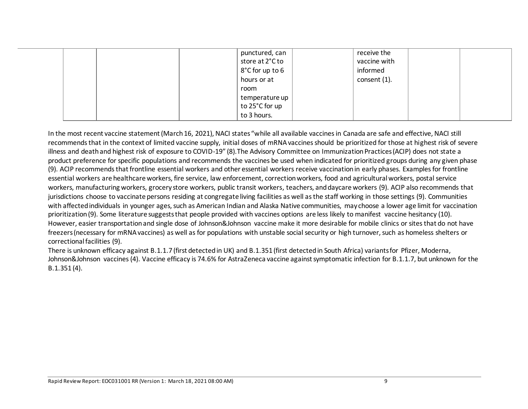|  | punctured, can  | receive the  |
|--|-----------------|--------------|
|  | store at 2°C to | vaccine with |
|  | 8°C for up to 6 | informed     |
|  | hours or at     | consent (1). |
|  | room            |              |
|  | temperature up  |              |
|  | to 25°C for up  |              |
|  | to 3 hours.     |              |

In the most recent vaccine statement (March 16, 2021), NACI states "while all available vaccines in Canada are safe and effective, NACI still recommends that in the context of limited vaccine supply, initial doses of mRNA vaccines should be prioritized for those at highest risk of severe illness and death and highest risk of exposure to COVID-19" (8).The Advisory Committee on Immunization Practices (ACIP) does not state a product preference for specific populations and recommends the vaccines be used when indicated for prioritized groups during any given phase (9). ACIP recommends that frontline essential workers and other essential workers receive vaccination in early phases. Examples for frontline essential workers are healthcare workers, fire service, law enforcement, correction workers, food and agricultural workers, postal service workers, manufacturing workers, grocery store workers, public transit workers, teachers, and daycare workers (9). ACIP also recommends that jurisdictions choose to vaccinate persons residing at congregate living facilities as well as the staff working in those settings (9). Communities with affected individuals in younger ages, such as American Indian and Alaska Native communities, may choose a lower age limit for vaccination prioritization (9). Some literature suggests that people provided with vaccines options are less likely to manifest vaccine hesitancy (10). However, easier transportation and single dose of Johnson&Johnson vaccine make it more desirable for mobile clinics or sites that do not have freezers(necessary for mRNA vaccines) as well as for populations with unstable social security or high turnover, such as homeless shelters or correctional facilities (9).

There is unknown efficacy against B.1.1.7 (first detected in UK) and B.1.351 (first detected in South Africa) variants for Pfizer, Moderna, Johnson&Johnson vaccines (4). Vaccine efficacy is 74.6% for AstraZeneca vaccine against symptomatic infection for B.1.1.7, but unknown for the B.1.351 (4).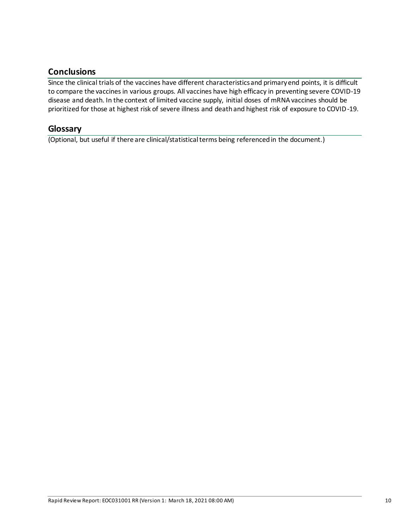# **Conclusions**

Since the clinical trials of the vaccines have different characteristics and primary end points, it is difficult to compare the vaccines in various groups. All vaccines have high efficacy in preventing severe COVID-19 disease and death. In the context of limited vaccine supply, initial doses of mRNA vaccines should be prioritized for those at highest risk of severe illness and death and highest risk of exposure to COVID-19.

### **Glossary**

(Optional, but useful if there are clinical/statistical terms being referenced in the document.)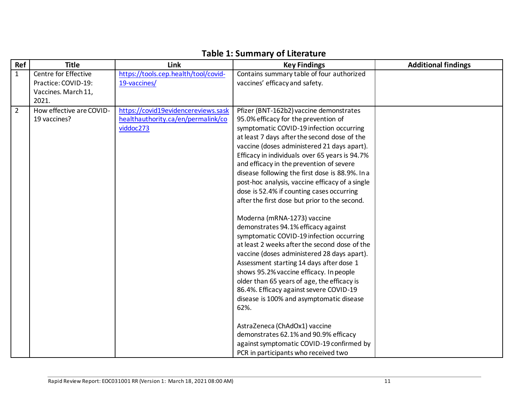| Ref            | <b>Title</b>             | Link                                 | <b>Key Findings</b>                                                                           | <b>Additional findings</b> |
|----------------|--------------------------|--------------------------------------|-----------------------------------------------------------------------------------------------|----------------------------|
| $\mathbf{1}$   | Centre for Effective     | https://tools.cep.health/tool/covid- | Contains summary table of four authorized                                                     |                            |
|                | Practice: COVID-19:      | 19-vaccines/                         | vaccines' efficacy and safety.                                                                |                            |
|                | Vaccines. March 11,      |                                      |                                                                                               |                            |
|                | 2021.                    |                                      |                                                                                               |                            |
| $\overline{2}$ | How effective are COVID- | https://covid19evidencereviews.sask  | Pfizer (BNT-162b2) vaccine demonstrates                                                       |                            |
|                | 19 vaccines?             | healthauthority.ca/en/permalink/co   | 95.0% efficacy for the prevention of                                                          |                            |
|                |                          | viddoc273                            | symptomatic COVID-19 infection occurring                                                      |                            |
|                |                          |                                      | at least 7 days after the second dose of the                                                  |                            |
|                |                          |                                      | vaccine (doses administered 21 days apart).<br>Efficacy in individuals over 65 years is 94.7% |                            |
|                |                          |                                      | and efficacy in the prevention of severe                                                      |                            |
|                |                          |                                      | disease following the first dose is 88.9%. In a                                               |                            |
|                |                          |                                      | post-hoc analysis, vaccine efficacy of a single                                               |                            |
|                |                          |                                      | dose is 52.4% if counting cases occurring                                                     |                            |
|                |                          |                                      | after the first dose but prior to the second.                                                 |                            |
|                |                          |                                      |                                                                                               |                            |
|                |                          |                                      | Moderna (mRNA-1273) vaccine                                                                   |                            |
|                |                          |                                      | demonstrates 94.1% efficacy against                                                           |                            |
|                |                          |                                      | symptomatic COVID-19 infection occurring                                                      |                            |
|                |                          |                                      | at least 2 weeks after the second dose of the                                                 |                            |
|                |                          |                                      | vaccine (doses administered 28 days apart).                                                   |                            |
|                |                          |                                      | Assessment starting 14 days after dose 1                                                      |                            |
|                |                          |                                      | shows 95.2% vaccine efficacy. In people                                                       |                            |
|                |                          |                                      | older than 65 years of age, the efficacy is                                                   |                            |
|                |                          |                                      | 86.4%. Efficacy against severe COVID-19                                                       |                            |
|                |                          |                                      | disease is 100% and asymptomatic disease<br>62%.                                              |                            |
|                |                          |                                      |                                                                                               |                            |
|                |                          |                                      | AstraZeneca (ChAdOx1) vaccine                                                                 |                            |
|                |                          |                                      | demonstrates 62.1% and 90.9% efficacy                                                         |                            |
|                |                          |                                      | against symptomatic COVID-19 confirmed by                                                     |                            |
|                |                          |                                      | PCR in participants who received two                                                          |                            |

# **Table 1: Summary of Literature**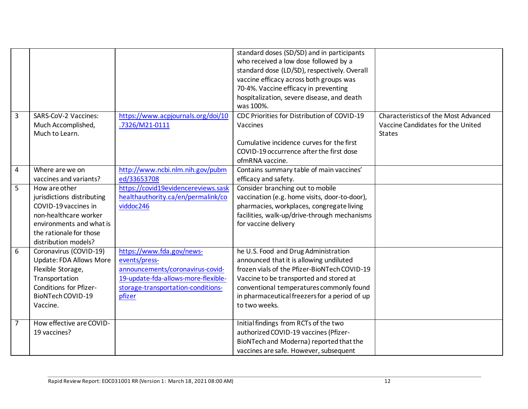|                |                                |                                     | standard doses (SD/SD) and in participants    |                                      |
|----------------|--------------------------------|-------------------------------------|-----------------------------------------------|--------------------------------------|
|                |                                |                                     | who received a low dose followed by a         |                                      |
|                |                                |                                     | standard dose (LD/SD), respectively. Overall  |                                      |
|                |                                |                                     | vaccine efficacy across both groups was       |                                      |
|                |                                |                                     | 70.4%. Vaccine efficacy in preventing         |                                      |
|                |                                |                                     | hospitalization, severe disease, and death    |                                      |
|                |                                |                                     | was 100%.                                     |                                      |
| $\overline{3}$ | SARS-CoV-2 Vaccines:           | https://www.acpjournals.org/doi/10  | CDC Priorities for Distribution of COVID-19   | Characteristics of the Most Advanced |
|                | Much Accomplished,             | .7326/M21-0111                      | Vaccines                                      | Vaccine Candidates for the United    |
|                | Much to Learn.                 |                                     |                                               | <b>States</b>                        |
|                |                                |                                     | Cumulative incidence curves for the first     |                                      |
|                |                                |                                     | COVID-19 occurrence after the first dose      |                                      |
|                |                                |                                     | ofmRNA vaccine.                               |                                      |
| $\overline{4}$ | Where are we on                | http://www.ncbi.nlm.nih.gov/pubm    | Contains summary table of main vaccines'      |                                      |
|                | vaccines and variants?         | ed/33653708                         | efficacy and safety.                          |                                      |
| $\overline{5}$ | How are other                  | https://covid19evidencereviews.sask | Consider branching out to mobile              |                                      |
|                | jurisdictions distributing     | healthauthority.ca/en/permalink/co  | vaccination (e.g. home visits, door-to-door), |                                      |
|                | COVID-19 vaccines in           | viddoc246                           | pharmacies, workplaces, congregate living     |                                      |
|                | non-healthcare worker          |                                     | facilities, walk-up/drive-through mechanisms  |                                      |
|                | environments and what is       |                                     | for vaccine delivery                          |                                      |
|                | the rationale for those        |                                     |                                               |                                      |
|                | distribution models?           |                                     |                                               |                                      |
| 6              | Coronavirus (COVID-19)         | https://www.fda.gov/news-           | he U.S. Food and Drug Administration          |                                      |
|                | <b>Update: FDA Allows More</b> | events/press-                       | announced that it is allowing undiluted       |                                      |
|                | Flexible Storage,              | announcements/coronavirus-covid-    | frozen vials of the Pfizer-BioNTech COVID-19  |                                      |
|                | Transportation                 | 19-update-fda-allows-more-flexible- | Vaccine to be transported and stored at       |                                      |
|                | Conditions for Pfizer-         | storage-transportation-conditions-  | conventional temperatures commonly found      |                                      |
|                | BioNTech COVID-19              | pfizer                              | in pharmaceutical freezers for a period of up |                                      |
|                | Vaccine.                       |                                     | to two weeks.                                 |                                      |
|                |                                |                                     |                                               |                                      |
| $\overline{7}$ | How effective are COVID-       |                                     | Initial findings from RCTs of the two         |                                      |
|                | 19 vaccines?                   |                                     | authorized COVID-19 vaccines (Pfizer-         |                                      |
|                |                                |                                     | BioNTech and Moderna) reported that the       |                                      |
|                |                                |                                     | vaccines are safe. However, subsequent        |                                      |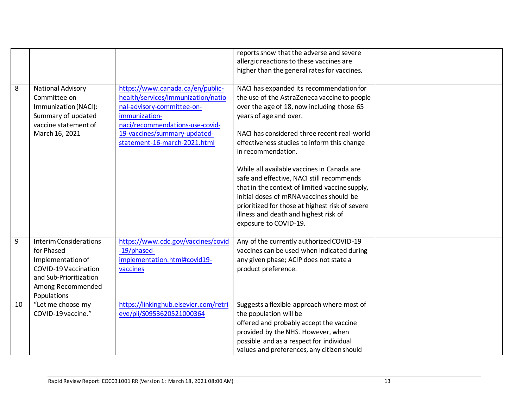|                |                                                                                                                                                        |                                                                                                                                                                                                                          | reports show that the adverse and severe<br>allergic reactions to these vaccines are<br>higher than the general rates for vaccines.                                                                                                                                                                                                                                                                                                                                                                                              |  |
|----------------|--------------------------------------------------------------------------------------------------------------------------------------------------------|--------------------------------------------------------------------------------------------------------------------------------------------------------------------------------------------------------------------------|----------------------------------------------------------------------------------------------------------------------------------------------------------------------------------------------------------------------------------------------------------------------------------------------------------------------------------------------------------------------------------------------------------------------------------------------------------------------------------------------------------------------------------|--|
| 8              | <b>National Advisory</b><br>Committee on<br>Immunization (NACI):<br>Summary of updated<br>vaccine statement of<br>March 16, 2021                       | https://www.canada.ca/en/public-<br>health/services/immunization/natio<br>nal-advisory-committee-on-<br>immunization-<br>naci/recommendations-use-covid-<br>19-vaccines/summary-updated-<br>statement-16-march-2021.html | NACI has expanded its recommendation for<br>the use of the AstraZeneca vaccine to people<br>over the age of 18, now including those 65<br>years of age and over.<br>NACI has considered three recent real-world<br>effectiveness studies to inform this change<br>in recommendation.<br>While all available vaccines in Canada are<br>safe and effective, NACI still recommends<br>that in the context of limited vaccine supply,<br>initial doses of mRNA vaccines should be<br>prioritized for those at highest risk of severe |  |
|                |                                                                                                                                                        |                                                                                                                                                                                                                          | illness and death and highest risk of<br>exposure to COVID-19.                                                                                                                                                                                                                                                                                                                                                                                                                                                                   |  |
| $\overline{9}$ | <b>Interim Considerations</b><br>for Phased<br>Implementation of<br>COVID-19 Vaccination<br>and Sub-Prioritization<br>Among Recommended<br>Populations | https://www.cdc.gov/vaccines/covid<br>-19/phased-<br>implementation.html#covid19-<br>vaccines                                                                                                                            | Any of the currently authorized COVID-19<br>vaccines can be used when indicated during<br>any given phase; ACIP does not state a<br>product preference.                                                                                                                                                                                                                                                                                                                                                                          |  |
| 10             | "Let me choose my<br>COVID-19 vaccine."                                                                                                                | https://linkinghub.elsevier.com/retri<br>eve/pii/S0953620521000364                                                                                                                                                       | Suggests a flexible approach where most of<br>the population will be<br>offered and probably accept the vaccine<br>provided by the NHS. However, when<br>possible and as a respect for individual<br>values and preferences, any citizen should                                                                                                                                                                                                                                                                                  |  |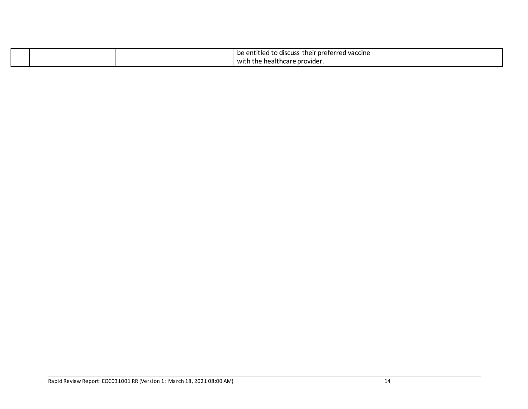|  | .<br>entitled to discuss *<br>their preferred vaccine. [<br>be |  |
|--|----------------------------------------------------------------|--|
|  | ) the healthcare provider.<br>witl                             |  |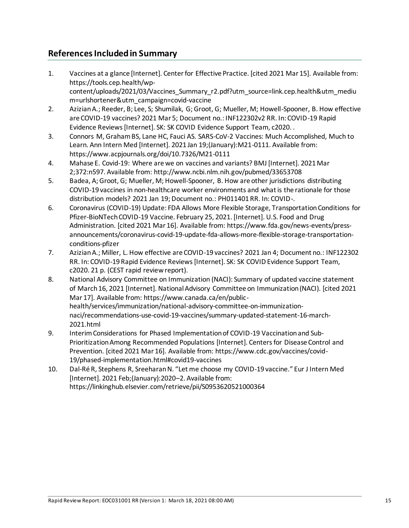## **References Included in Summary**

- 1. Vaccines at a glance [Internet]. Center for Effective Practice. [cited 2021 Mar 15]. Available from: https://tools.cep.health/wpcontent/uploads/2021/03/Vaccines\_Summary\_r2.pdf?utm\_source=link.cep.health&utm\_mediu m=urlshortener&utm\_campaign=covid-vaccine
- 2. Azizian A.; Reeder, B; Lee, S; Shumilak, G; Groot, G; Mueller, M; Howell-Spooner, B. How effective are COVID-19 vaccines? 2021 Mar 5; Document no.: INF122302v2 RR. In: COVID-19 Rapid Evidence Reviews [Internet]. SK: SK COVID Evidence Support Team, c2020. .
- 3. Connors M, Graham BS, Lane HC, Fauci AS. SARS-CoV-2 Vaccines: Much Accomplished, Much to Learn. Ann Intern Med [Internet]. 2021 Jan 19;(January):M21-0111. Available from: https://www.acpjournals.org/doi/10.7326/M21-0111
- 4. Mahase E. Covid-19: Where are we on vaccines and variants? BMJ [Internet]. 2021 Mar 2;372:n597. Available from: http://www.ncbi.nlm.nih.gov/pubmed/33653708
- 5. Badea, A; Groot, G; Mueller, M; Howell-Spooner, B. How are other jurisdictions distributing COVID-19 vaccines in non-healthcare worker environments and what is the rationale for those distribution models? 2021 Jan 19; Document no.: PH011401 RR. In: COVID-.
- 6. Coronavirus (COVID-19) Update: FDA Allows More Flexible Storage, Transportation Conditions for Pfizer-BioNTech COVID-19 Vaccine. February 25, 2021. [Internet]. U.S. Food and Drug Administration. [cited 2021 Mar 16]. Available from: https://www.fda.gov/news-events/pressannouncements/coronavirus-covid-19-update-fda-allows-more-flexible-storage-transportationconditions-pfizer
- 7. Azizian A.; Miller, L. How effective are COVID-19 vaccines? 2021 Jan 4; Document no.: INF122302 RR. In: COVID-19 Rapid Evidence Reviews [Internet]. SK: SK COVID Evidence Support Team, c2020. 21 p. (CEST rapid review report).
- 8. National Advisory Committee on Immunization (NACI): Summary of updated vaccine statement of March 16, 2021 [Internet]. National Advisory Committee on Immunization (NACI). [cited 2021 Mar 17]. Available from: https://www.canada.ca/en/publichealth/services/immunization/national-advisory-committee-on-immunizationnaci/recommendations-use-covid-19-vaccines/summary-updated-statement-16-march-2021.html
- 9. Interim Considerations for Phased Implementation of COVID-19 Vaccination and Sub-Prioritization Among Recommended Populations [Internet]. Centers for Disease Control and Prevention. [cited 2021 Mar 16]. Available from: https://www.cdc.gov/vaccines/covid-19/phased-implementation.html#covid19-vaccines
- 10. Dal-Ré R, Stephens R, Sreeharan N. "Let me choose my COVID-19 vaccine." Eur J Intern Med [Internet]. 2021 Feb;(January):2020–2. Available from: https://linkinghub.elsevier.com/retrieve/pii/S0953620521000364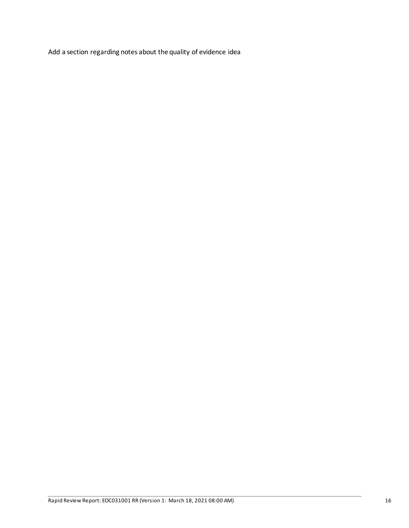Add a section regarding notes about the quality of evidence idea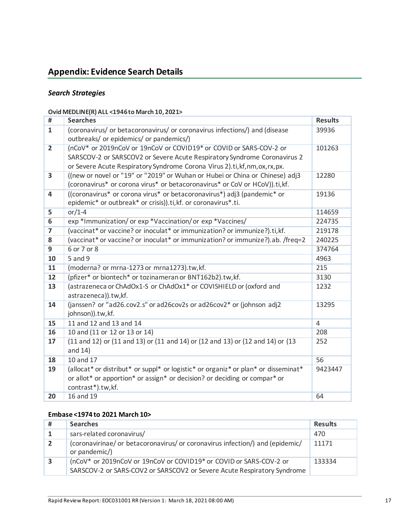# **Appendix: Evidence Search Details**

#### *Search Strategies*

#### **Ovid MEDLINE(R) ALL <1946 to March 10, 2021>**

| #                       | <b>Searches</b>                                                                    | <b>Results</b> |
|-------------------------|------------------------------------------------------------------------------------|----------------|
| $\mathbf{1}$            | (coronavirus/ or betacoronavirus/ or coronavirus infections/) and (disease         | 39936          |
|                         | outbreaks/ or epidemics/ or pandemics/)                                            |                |
| $\overline{2}$          | (nCoV* or 2019nCoV or 19nCoV or COVID19* or COVID or SARS-COV-2 or                 | 101263         |
|                         | SARSCOV-2 or SARSCOV2 or Severe Acute Respiratory Syndrome Coronavirus 2           |                |
|                         | or Severe Acute Respiratory Syndrome Corona Virus 2).ti, kf, nm, ox, rx, px.       |                |
| $\overline{3}$          | ((new or novel or "19" or "2019" or Wuhan or Hubei or China or Chinese) adj3       | 12280          |
|                         | (coronavirus* or corona virus* or betacoronavirus* or CoV or HCoV)).ti, kf.        |                |
| $\overline{\mathbf{4}}$ | ((coronavirus* or corona virus* or betacoronavirus*) adj3 (pandemic* or            | 19136          |
|                         | epidemic* or outbreak* or crisis)).ti, kf. or coronavirus*.ti.                     |                |
| 5                       | or/1-4                                                                             | 114659         |
| $6\overline{}$          | exp *Immunization/ or exp *Vaccination/ or exp *Vaccines/                          | 224735         |
| $\overline{\mathbf{z}}$ | (vaccinat* or vaccine? or inoculat* or immunization? or immunize?).ti, kf.         | 219178         |
| 8                       | (vaccinat* or vaccine? or inoculat* or immunization? or immunize?).ab. /freq=2     | 240225         |
| $\overline{9}$          | 6 or 7 or 8                                                                        | 374764         |
| 10                      | 5 and 9                                                                            | 4963           |
| 11                      | (moderna? or mrna-1273 or mrna1273).tw,kf.                                         | 215            |
| 12                      | (pfizer* or biontech* or tozinameran or BNT162b2).tw,kf.                           | 3130           |
| 13                      | (astrazeneca or ChAdOx1-S or ChAdOx1* or COVISHIELD or (oxford and                 | 1232           |
|                         | astrazeneca)).tw,kf.                                                               |                |
| 14                      | (janssen? or "ad26.cov2.s" or ad26cov2s or ad26cov2* or (johnson adj2              | 13295          |
|                         | johnson)).tw,kf.                                                                   |                |
| 15                      | 11 and 12 and 13 and 14                                                            | 4              |
| 16                      | 10 and (11 or 12 or 13 or 14)                                                      | 208            |
| 17                      | (11 and 12) or (11 and 13) or (11 and 14) or (12 and 13) or (12 and 14) or (13     | 252            |
|                         | and $14)$                                                                          |                |
| 18                      | 10 and 17                                                                          | 56             |
| 19                      | (allocat* or distribut* or suppl* or logistic* or organiz* or plan* or disseminat* | 9423447        |
|                         | or allot* or apportion* or assign* or decision? or deciding or compar* or          |                |
|                         | contrast*).tw,kf.                                                                  |                |
| 20                      | 16 and 19                                                                          | 64             |

#### **Embase <1974 to 2021 March 10>**

| #              | <b>Searches</b>                                                                                                                               | <b>Results</b> |
|----------------|-----------------------------------------------------------------------------------------------------------------------------------------------|----------------|
|                | sars-related coronavirus/                                                                                                                     | 470            |
| $\overline{2}$ | (coronavirinae/ or betacoronavirus/ or coronavirus infection/) and (epidemic/<br>or pandemic/)                                                | 11171          |
| 3              | (nCoV* or 2019nCoV or 19nCoV or COVID19* or COVID or SARS-COV-2 or<br>SARSCOV-2 or SARS-COV2 or SARSCOV2 or Severe Acute Respiratory Syndrome | 133334         |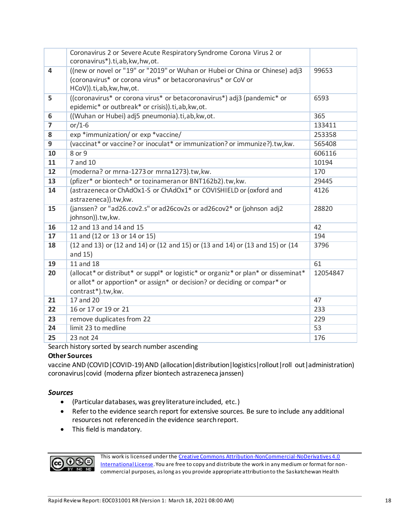|                         | Coronavirus 2 or Severe Acute Respiratory Syndrome Corona Virus 2 or<br>coronavirus*).ti,ab,kw,hw,ot. |          |
|-------------------------|-------------------------------------------------------------------------------------------------------|----------|
| $\overline{\mathbf{4}}$ | ((new or novel or "19" or "2019" or Wuhan or Hubei or China or Chinese) adj3                          | 99653    |
|                         | (coronavirus* or corona virus* or betacoronavirus* or CoV or                                          |          |
|                         | HCoV)).ti,ab,kw,hw,ot.                                                                                |          |
| 5                       | ((coronavirus* or corona virus* or betacoronavirus*) adj3 (pandemic* or                               | 6593     |
|                         | epidemic* or outbreak* or crisis)).ti,ab,kw,ot.                                                       |          |
| 6                       | ((Wuhan or Hubei) adj5 pneumonia).ti,ab, kw, ot.                                                      | 365      |
| $\overline{ }$          | $or/1-6$                                                                                              | 133411   |
| 8                       | exp *immunization/ or exp *vaccine/                                                                   | 253358   |
| $\overline{9}$          | (vaccinat* or vaccine? or inoculat* or immunization? or immunize?).tw, kw.                            | 565408   |
|                         |                                                                                                       |          |
| 10                      | 8 or 9                                                                                                | 606116   |
| 11                      | 7 and 10                                                                                              | 10194    |
| $\overline{12}$         | (moderna? or mrna-1273 or mrna1273).tw, kw.                                                           | 170      |
| 13                      | (pfizer* or biontech* or tozinameran or BNT162b2).tw,kw.                                              | 29445    |
| 14                      | (astrazeneca or ChAdOx1-S or ChAdOx1* or COVISHIELD or (oxford and                                    | 4126     |
|                         | astrazeneca)).tw,kw.                                                                                  |          |
| 15                      | (janssen? or "ad26.cov2.s" or ad26cov2s or ad26cov2* or (johnson adj2                                 | 28820    |
|                         | johnson)).tw, kw.                                                                                     |          |
| 16                      | 12 and 13 and 14 and 15                                                                               | 42       |
| 17                      | 11 and (12 or 13 or 14 or 15)                                                                         | 194      |
| 18                      | (12 and 13) or (12 and 14) or (12 and 15) or (13 and 14) or (13 and 15) or (14                        | 3796     |
|                         | and 15)                                                                                               |          |
| 19                      | 11 and 18                                                                                             | 61       |
| 20                      | (allocat* or distribut* or suppl* or logistic* or organiz* or plan* or disseminat*                    | 12054847 |
|                         | or allot* or apportion* or assign* or decision? or deciding or compar* or                             |          |
|                         | contrast*).tw, kw.                                                                                    |          |
| 21                      | 17 and 20                                                                                             | 47       |
| 22                      | 16 or 17 or 19 or 21                                                                                  | 233      |
| 23                      | remove duplicates from 22                                                                             | 229      |
| 24                      | limit 23 to medline                                                                                   | 53       |
| 25                      | 23 not 24                                                                                             | 176      |
|                         |                                                                                                       |          |

Search history sorted by search number ascending

#### **Other Sources**

vaccine AND (COVID | COVID-19) AND (allocation | distribution | logistics | rollout | roll out | administration) coronavirus|covid (moderna pfizer biontech astrazeneca janssen)

#### *Sources*

- (Particular databases, was grey literature included, etc.)
- Refer to the evidence search report for extensive sources. Be sure to include any additional resources not referenced in the evidence search report.
- This field is mandatory.



This work is licensed under the Creative Commons Attribution-NonCommercial-NoDerivatives 4.0 [International License](http://creativecommons.org/licenses/by-nc-nd/4.0/). You are free to copy and distribute the work in any medium or format for noncommercial purposes, as long as you provide appropriate attribution to the Saskatchewan Health